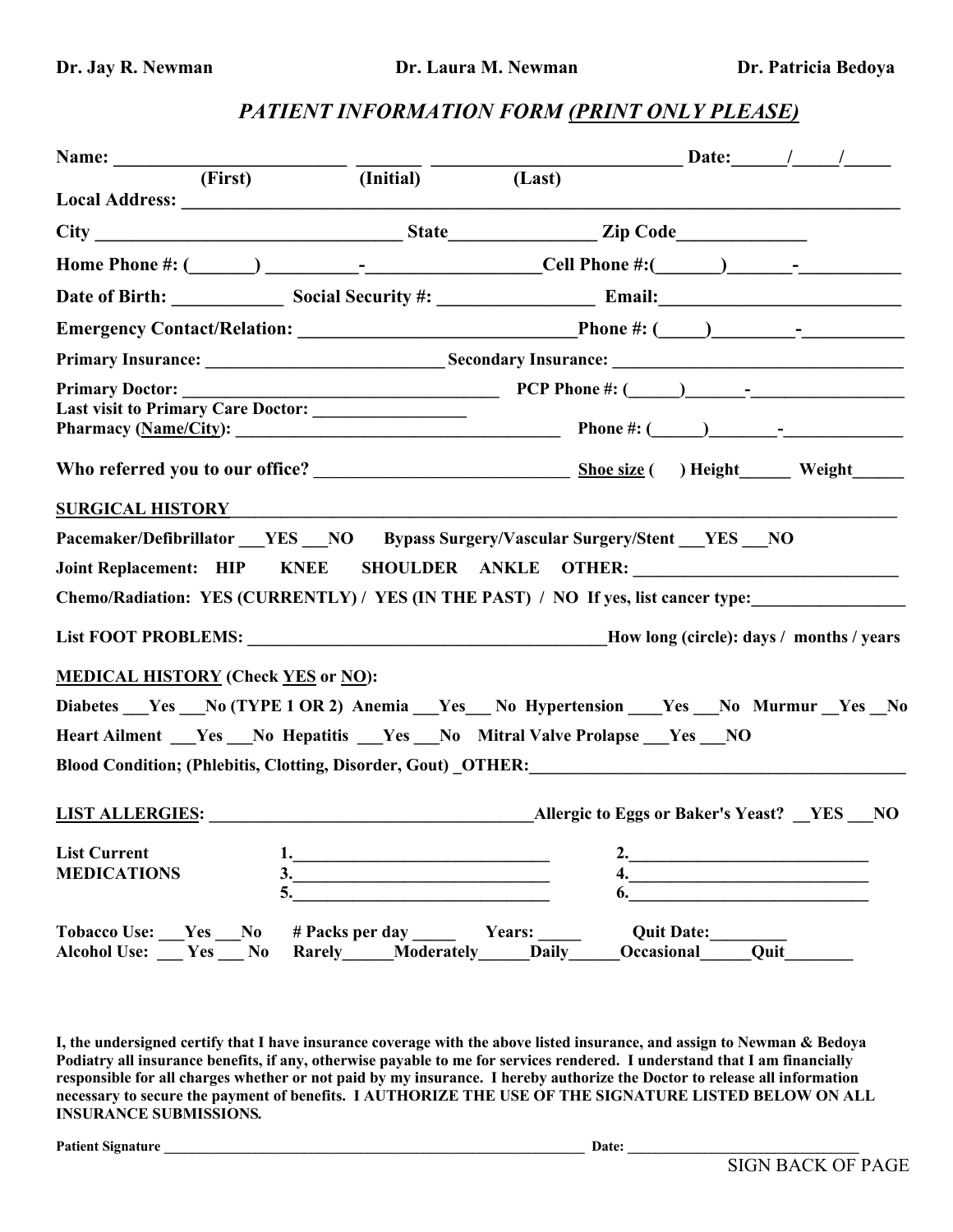# *PATIENT INFORMATION FORM (PRINT ONLY PLEASE)*

|                                                                                             |                                                |                                      |                               | Date: $\frac{1}{\sqrt{2\pi}}$ |
|---------------------------------------------------------------------------------------------|------------------------------------------------|--------------------------------------|-------------------------------|-------------------------------|
| Name: $\overline{\qquad \qquad }$ (First) $\overline{\qquad \qquad }$ (Initial)             |                                                | (Last)                               |                               |                               |
| Local Address: No. 1998. Contract of the Second Local Address:                              |                                                |                                      |                               |                               |
|                                                                                             |                                                |                                      |                               |                               |
|                                                                                             |                                                |                                      |                               |                               |
| Date of Birth: Social Security #: Email: Email: Email:                                      |                                                |                                      |                               |                               |
|                                                                                             |                                                |                                      |                               |                               |
|                                                                                             |                                                |                                      |                               |                               |
|                                                                                             |                                                |                                      |                               |                               |
| Last visit to Primary Care Doctor: _________________                                        |                                                |                                      |                               |                               |
|                                                                                             |                                                |                                      |                               |                               |
| SURGICAL HISTORY NAMES AND THE RESIDENCE OF A SURGICAL HISTORY                              |                                                |                                      |                               |                               |
| Pacemaker/Defibrillator YES NO Bypass Surgery/Vascular Surgery/Stent YES NO                 |                                                |                                      |                               |                               |
| Joint Replacement: HIP KNEE SHOULDER ANKLE OTHER: ______________________________            |                                                |                                      |                               |                               |
| Chemo/Radiation: YES (CURRENTLY) / YES (IN THE PAST) / NO If yes, list cancer type:         |                                                |                                      |                               |                               |
|                                                                                             |                                                |                                      |                               |                               |
| <b>MEDICAL HISTORY (Check YES or NO):</b>                                                   |                                                |                                      |                               |                               |
| Diabetes __Yes __No (TYPE 1 OR 2) Anemia __Yes __No Hypertension __Yes __No Murmur _Yes _No |                                                |                                      |                               |                               |
| Heart Ailment ___Yes ___No Hepatitis ___Yes ___No Mitral Valve Prolapse ___Yes ___NO        |                                                |                                      |                               |                               |
|                                                                                             |                                                |                                      |                               |                               |
| <b>LIST ALLERGIES:</b> Allergic to Eggs or Baker's Yeast? YES NO                            |                                                |                                      |                               |                               |
| <b>List Current</b>                                                                         |                                                |                                      |                               | <u>2.</u>                     |
| <b>MEDICATIONS</b><br>5.                                                                    | $\frac{3}{2}$                                  | 6.                                   | 4. <u>___________________</u> |                               |
| Tobacco Use: Yes No<br><b>Alcohol Use:</b><br>Yes<br>N <sub>0</sub>                         | # Packs per day<br>Moderately<br><b>Rarely</b> | Years:<br><b>Daily</b><br>Occasional | <b>Quit Date:</b>             | Quit                          |

**I, the undersigned certify that I have insurance coverage with the above listed insurance, and assign to Newman & Bedoya Podiatry all insurance benefits, if any, otherwise payable to me for services rendered. I understand that I am financially responsible for all charges whether or not paid by my insurance. I hereby authorize the Doctor to release all information necessary to secure the payment of benefits. I AUTHORIZE THE USE OF THE SIGNATURE LISTED BELOW ON ALL INSURANCE SUBMISSIONS***.*

**Patient Signature \_\_\_\_\_\_\_\_\_\_\_\_\_\_\_\_\_\_\_\_\_\_\_\_\_\_\_\_\_\_\_\_\_\_\_\_\_\_\_\_\_\_\_\_\_\_\_\_\_\_\_\_\_\_\_\_\_\_\_\_ Date: \_\_\_\_\_\_\_\_\_\_\_\_\_\_\_\_\_\_\_\_\_\_\_\_\_\_\_\_\_\_\_\_\_**